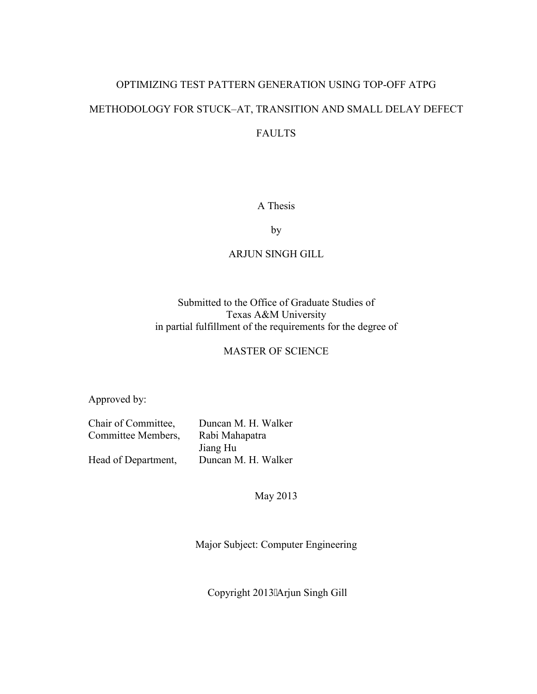# OPTIMIZING TEST PATTERN GENERATION USING TOP-OFF ATPG METHODOLOGY FOR STUCK–AT, TRANSITION AND SMALL DELAY DEFECT FAULTS

# A Thesis

by

# ARJUN SINGH GILL

# Submitted to the Office of Graduate Studies of Texas A&M University in partial fulfillment of the requirements for the degree of

# MASTER OF SCIENCE

Approved by:

| Chair of Committee, | Duncan M. H. Walker |  |
|---------------------|---------------------|--|
| Committee Members,  | Rabi Mahapatra      |  |
|                     | Jiang Hu            |  |
| Head of Department, | Duncan M. H. Walker |  |

May 2013

Major Subject: Computer Engineering

Copyright 2013"Arjun Singh Gill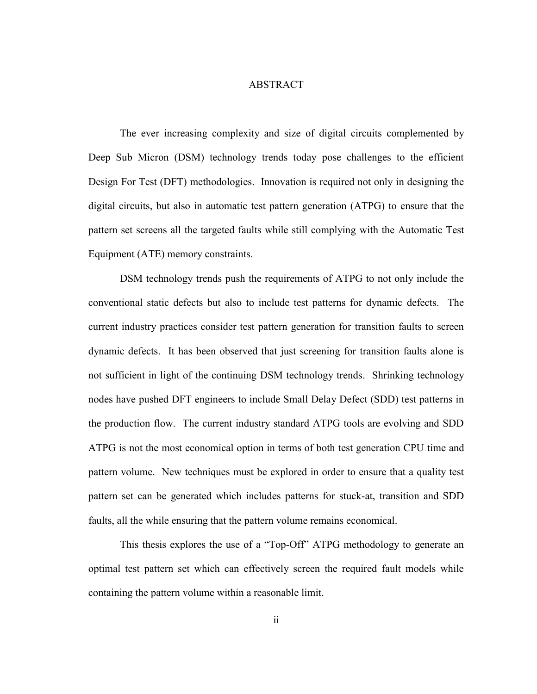## **ABSTRACT**

<span id="page-1-0"></span>The ever increasing complexity and size of digital circuits complemented by Deep Sub Micron (DSM) technology trends today pose challenges to the efficient Design For Test (DFT) methodologies. Innovation is required not only in designing the digital circuits, but also in automatic test pattern generation (ATPG) to ensure that the pattern set screens all the targeted faults while still complying with the Automatic Test Equipment (ATE) memory constraints.

DSM technology trends push the requirements of ATPG to not only include the conventional static defects but also to include test patterns for dynamic defects. The current industry practices consider test pattern generation for transition faults to screen dynamic defects. It has been observed that just screening for transition faults alone is not sufficient in light of the continuing DSM technology trends. Shrinking technology nodes have pushed DFT engineers to include Small Delay Defect (SDD) test patterns in the production flow. The current industry standard ATPG tools are evolving and SDD ATPG is not the most economical option in terms of both test generation CPU time and pattern volume. New techniques must be explored in order to ensure that a quality test pattern set can be generated which includes patterns for stuck-at, transition and SDD faults, all the while ensuring that the pattern volume remains economical.

This thesis explores the use of a "Top-Off" ATPG methodology to generate an optimal test pattern set which can effectively screen the required fault models while containing the pattern volume within a reasonable limit.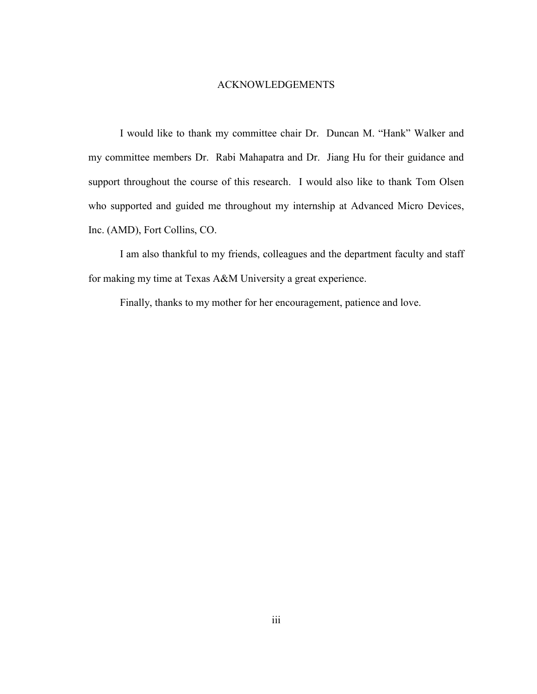# ACKNOWLEDGEMENTS

<span id="page-2-0"></span>I would like to thank my committee chair Dr. Duncan M. "Hank" Walker and my committee members Dr. Rabi Mahapatra and Dr. Jiang Hu for their guidance and support throughout the course of this research. I would also like to thank Tom Olsen who supported and guided me throughout my internship at Advanced Micro Devices, Inc. (AMD), Fort Collins, CO.

I am also thankful to my friends, colleagues and the department faculty and staff for making my time at Texas A&M University a great experience.

Finally, thanks to my mother for her encouragement, patience and love.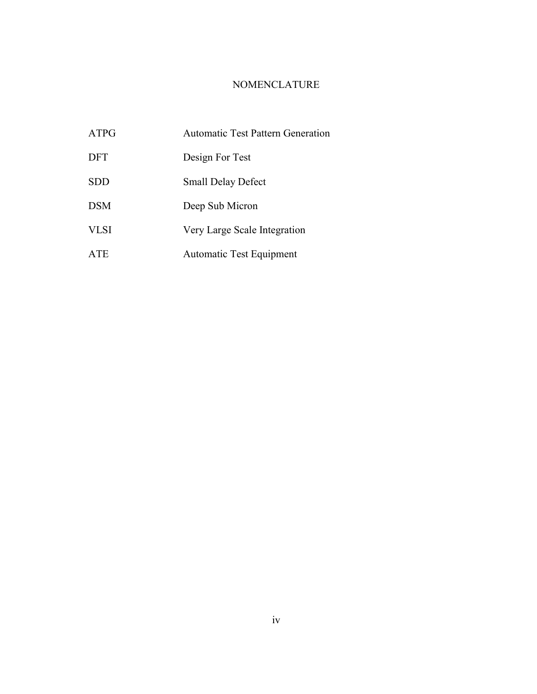# NOMENCLATURE

<span id="page-3-0"></span>

| ATPG        | <b>Automatic Test Pattern Generation</b> |
|-------------|------------------------------------------|
| <b>DFT</b>  | Design For Test                          |
| <b>SDD</b>  | <b>Small Delay Defect</b>                |
| <b>DSM</b>  | Deep Sub Micron                          |
| <b>VLSI</b> | Very Large Scale Integration             |
| ATE         | <b>Automatic Test Equipment</b>          |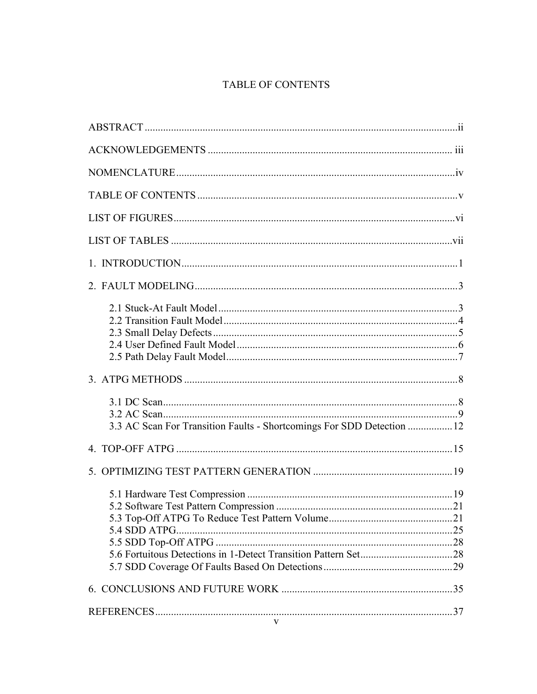# **TABLE OF CONTENTS**

<span id="page-4-0"></span>

| 3.3 AC Scan For Transition Faults - Shortcomings For SDD Detection  12 |  |
|------------------------------------------------------------------------|--|
|                                                                        |  |
|                                                                        |  |
|                                                                        |  |
|                                                                        |  |
|                                                                        |  |
| $\mathbf V$                                                            |  |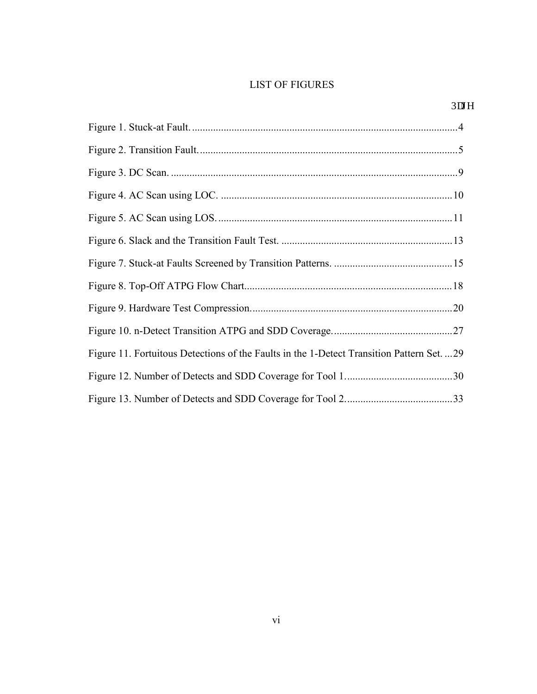# <span id="page-5-0"></span>LIST OF FIGURES

| Figure 11. Fortuitous Detections of the Faults in the 1-Detect Transition Pattern Set. 29 |  |
|-------------------------------------------------------------------------------------------|--|
|                                                                                           |  |
|                                                                                           |  |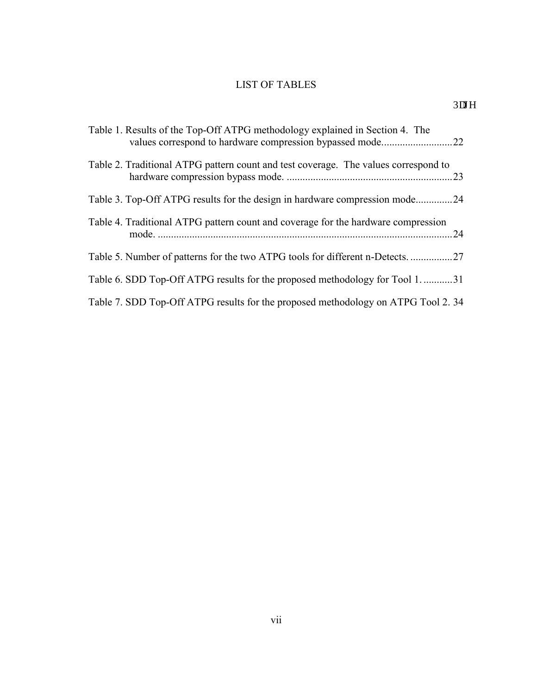# LIST OF TABLES

<span id="page-6-0"></span>

| Table 1. Results of the Top-Off ATPG methodology explained in Section 4. The             |
|------------------------------------------------------------------------------------------|
| Table 2. Traditional ATPG pattern count and test coverage. The values correspond to      |
| Table 3. Top-Off ATPG results for the design in hardware compression mode24              |
| Table 4. Traditional ATPG pattern count and coverage for the hardware compression<br>.24 |
| Table 5. Number of patterns for the two ATPG tools for different n-Detects.              |
| Table 6. SDD Top-Off ATPG results for the proposed methodology for Tool 1. 31            |
| Table 7. SDD Top-Off ATPG results for the proposed methodology on ATPG Tool 2.34         |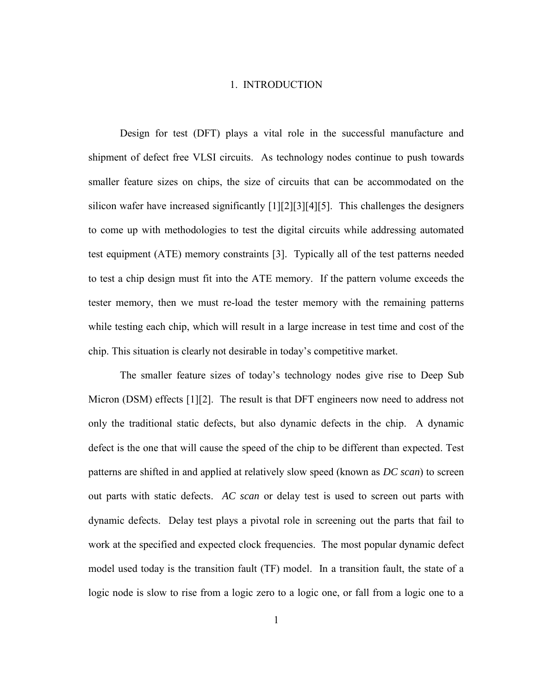# 1. INTRODUCTION

<span id="page-7-0"></span>Design for test (DFT) plays a vital role in the successful manufacture and shipment of defect free VLSI circuits. As technology nodes continue to push towards smaller feature sizes on chips, the size of circuits that can be accommodated on the silicon wafer have increased significantly [1][2][3][4][5]. This challenges the designers to come up with methodologies to test the digital circuits while addressing automated test equipment (ATE) memory constraints [3]. Typically all of the test patterns needed to test a chip design must fit into the ATE memory. If the pattern volume exceeds the tester memory, then we must re-load the tester memory with the remaining patterns while testing each chip, which will result in a large increase in test time and cost of the chip. This situation is clearly not desirable in today's competitive market.

The smaller feature sizes of today's technology nodes give rise to Deep Sub Micron (DSM) effects [1][2]. The result is that DFT engineers now need to address not only the traditional static defects, but also dynamic defects in the chip. A dynamic defect is the one that will cause the speed of the chip to be different than expected. Test patterns are shifted in and applied at relatively slow speed (known as *DC scan*) to screen out parts with static defects. *AC scan* or delay test is used to screen out parts with dynamic defects. Delay test plays a pivotal role in screening out the parts that fail to work at the specified and expected clock frequencies. The most popular dynamic defect model used today is the transition fault (TF) model. In a transition fault, the state of a logic node is slow to rise from a logic zero to a logic one, or fall from a logic one to a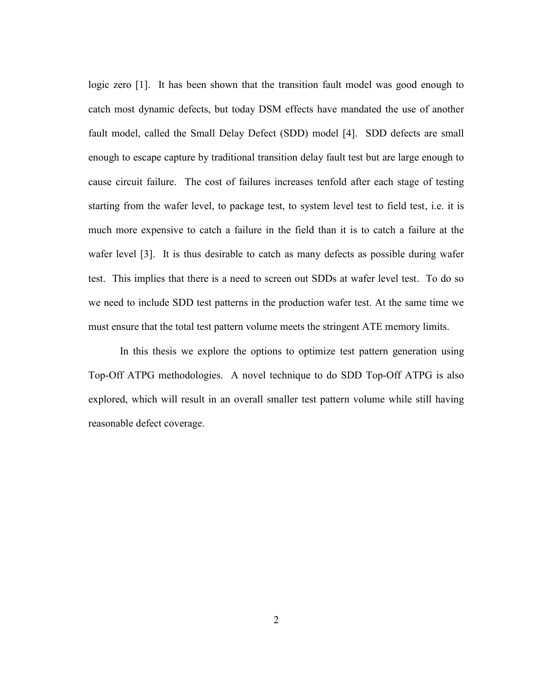logic zero [1]. It has been shown that the transition fault model was good enough to catch most dynamic defects, but today DSM effects have mandated the use of another fault model, called the Small Delay Defect (SDD) model [4]. SDD defects are small enough to escape capture by traditional transition delay fault test but are large enough to cause circuit failure. The cost of failures increases tenfold after each stage of testing starting from the wafer level, to package test, to system level test to field test, i.e. it is much more expensive to catch a failure in the field than it is to catch a failure at the wafer level [3]. It is thus desirable to catch as many defects as possible during wafer test. This implies that there is a need to screen out SDDs at wafer level test. To do so we need to include SDD test patterns in the production wafer test. At the same time we must ensure that the total test pattern volume meets the stringent ATE memory limits.

In this thesis we explore the options to optimize test pattern generation using Top-Off ATPG methodologies. A novel technique to do SDD Top-Off ATPG is also explored, which will result in an overall smaller test pattern volume while still having reasonable defect coverage.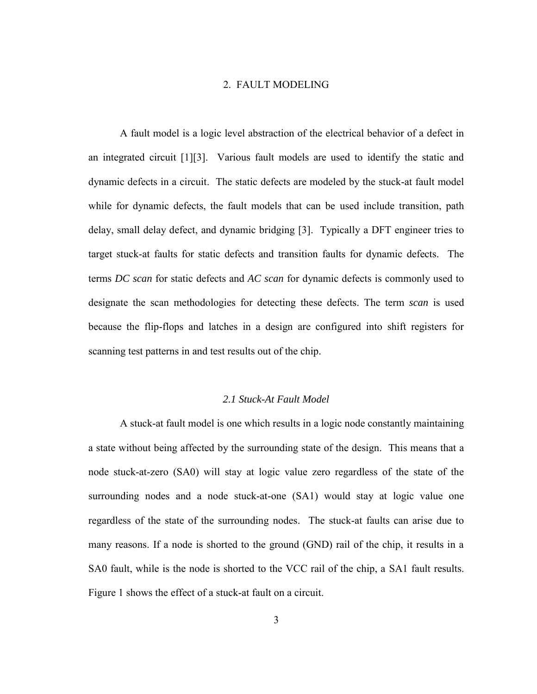# 2. FAULT MODELING

<span id="page-9-0"></span>A fault model is a logic level abstraction of the electrical behavior of a defect in an integrated circuit [1][3]. Various fault models are used to identify the static and dynamic defects in a circuit. The static defects are modeled by the stuck-at fault model while for dynamic defects, the fault models that can be used include transition, path delay, small delay defect, and dynamic bridging [3]. Typically a DFT engineer tries to target stuck-at faults for static defects and transition faults for dynamic defects. The terms *DC scan* for static defects and *AC scan* for dynamic defects is commonly used to designate the scan methodologies for detecting these defects. The term *scan* is used because the flip-flops and latches in a design are configured into shift registers for scanning test patterns in and test results out of the chip.

## *2.1 Stuck-At Fault Model*

<span id="page-9-1"></span>A stuck-at fault model is one which results in a logic node constantly maintaining a state without being affected by the surrounding state of the design. This means that a node stuck-at-zero (SA0) will stay at logic value zero regardless of the state of the surrounding nodes and a node stuck-at-one  $(SA1)$  would stay at logic value one regardless of the state of the surrounding nodes. The stuck-at faults can arise due to many reasons. If a node is shorted to the ground (GND) rail of the chip, it results in a SA0 fault, while is the node is shorted to the VCC rail of the chip, a SA1 fault results. Figure 1 shows the effect of a stuck-at fault on a circuit.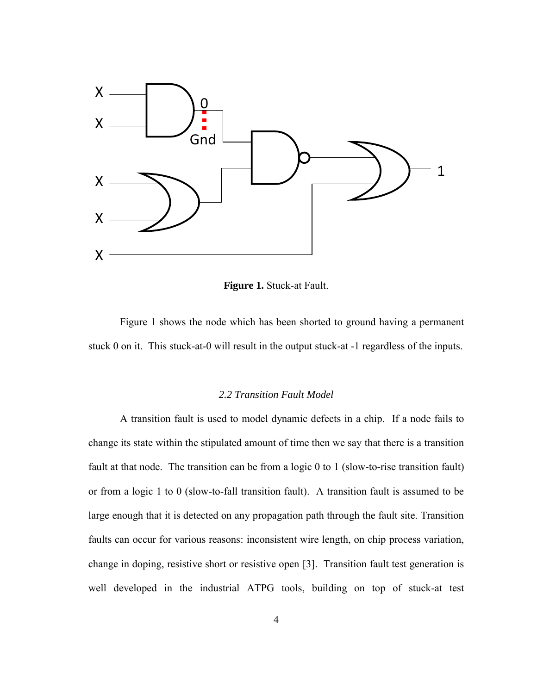

**Figure 1.** Stuck-at Fault.

<span id="page-10-1"></span> Figure 1 shows the node which has been shorted to ground having a permanent stuck 0 on it. This stuck-at-0 will result in the output stuck-at -1 regardless of the inputs.

# *2.2 Transition Fault Model*

<span id="page-10-0"></span>A transition fault is used to model dynamic defects in a chip. If a node fails to change its state within the stipulated amount of time then we say that there is a transition fault at that node. The transition can be from a logic 0 to 1 (slow-to-rise transition fault) or from a logic 1 to 0 (slow-to-fall transition fault). A transition fault is assumed to be large enough that it is detected on any propagation path through the fault site. Transition faults can occur for various reasons: inconsistent wire length, on chip process variation, change in doping, resistive short or resistive open [3]. Transition fault test generation is well developed in the industrial ATPG tools, building on top of stuck-at test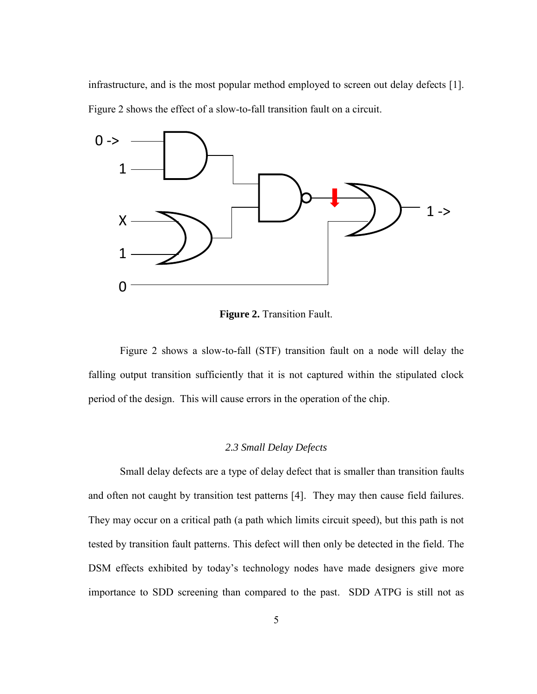infrastructure, and is the most popular method employed to screen out delay defects [1]. Figure 2 shows the effect of a slow-to-fall transition fault on a circuit.



**Figure 2.** Transition Fault.

<span id="page-11-1"></span> Figure 2 shows a slow-to-fall (STF) transition fault on a node will delay the falling output transition sufficiently that it is not captured within the stipulated clock period of the design. This will cause errors in the operation of the chip.

# *2.3 Small Delay Defects*

<span id="page-11-0"></span>Small delay defects are a type of delay defect that is smaller than transition faults and often not caught by transition test patterns [4]. They may then cause field failures. They may occur on a critical path (a path which limits circuit speed), but this path is not tested by transition fault patterns. This defect will then only be detected in the field. The DSM effects exhibited by today's technology nodes have made designers give more importance to SDD screening than compared to the past. SDD ATPG is still not as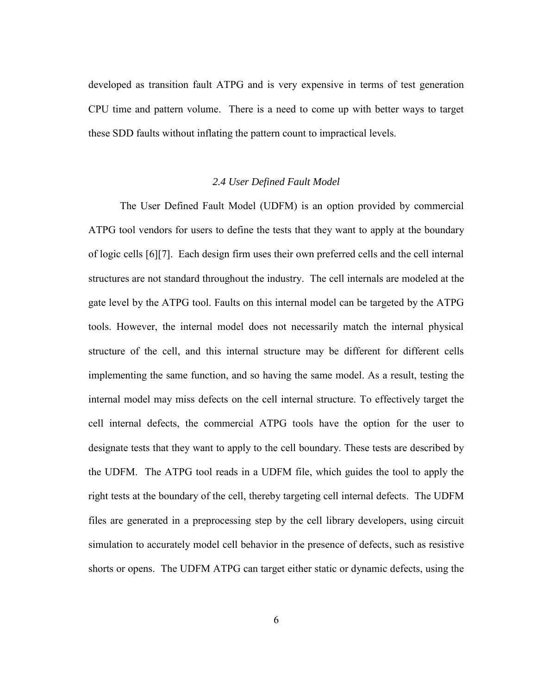developed as transition fault ATPG and is very expensive in terms of test generation CPU time and pattern volume. There is a need to come up with better ways to target these SDD faults without inflating the pattern count to impractical levels.

## *2.4 User Defined Fault Model*

<span id="page-12-0"></span>The User Defined Fault Model (UDFM) is an option provided by commercial ATPG tool vendors for users to define the tests that they want to apply at the boundary of logic cells [6][7]. Each design firm uses their own preferred cells and the cell internal structures are not standard throughout the industry. The cell internals are modeled at the gate level by the ATPG tool. Faults on this internal model can be targeted by the ATPG tools. However, the internal model does not necessarily match the internal physical structure of the cell, and this internal structure may be different for different cells implementing the same function, and so having the same model. As a result, testing the internal model may miss defects on the cell internal structure. To effectively target the cell internal defects, the commercial ATPG tools have the option for the user to designate tests that they want to apply to the cell boundary. These tests are described by the UDFM. The ATPG tool reads in a UDFM file, which guides the tool to apply the right tests at the boundary of the cell, thereby targeting cell internal defects. The UDFM files are generated in a preprocessing step by the cell library developers, using circuit simulation to accurately model cell behavior in the presence of defects, such as resistive shorts or opens. The UDFM ATPG can target either static or dynamic defects, using the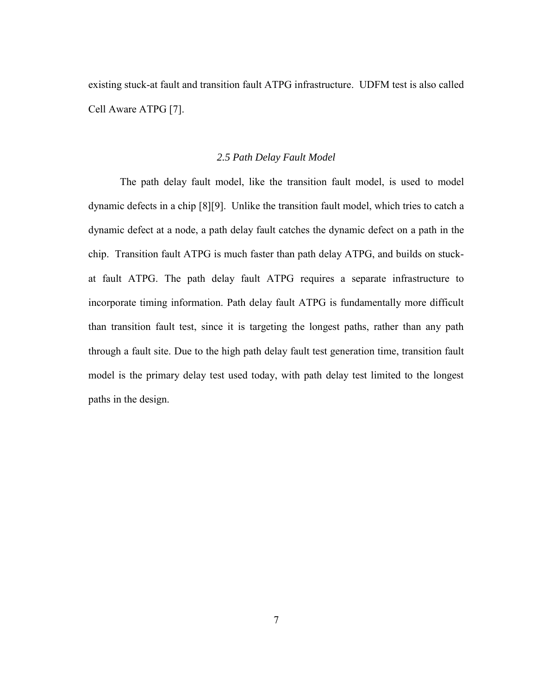existing stuck-at fault and transition fault ATPG infrastructure. UDFM test is also called Cell Aware ATPG [7].

#### *2.5 Path Delay Fault Model*

<span id="page-13-0"></span>The path delay fault model, like the transition fault model, is used to model dynamic defects in a chip [8][9]. Unlike the transition fault model, which tries to catch a dynamic defect at a node, a path delay fault catches the dynamic defect on a path in the chip. Transition fault ATPG is much faster than path delay ATPG, and builds on stuckat fault ATPG. The path delay fault ATPG requires a separate infrastructure to incorporate timing information. Path delay fault ATPG is fundamentally more difficult than transition fault test, since it is targeting the longest paths, rather than any path through a fault site. Due to the high path delay fault test generation time, transition fault model is the primary delay test used today, with path delay test limited to the longest paths in the design.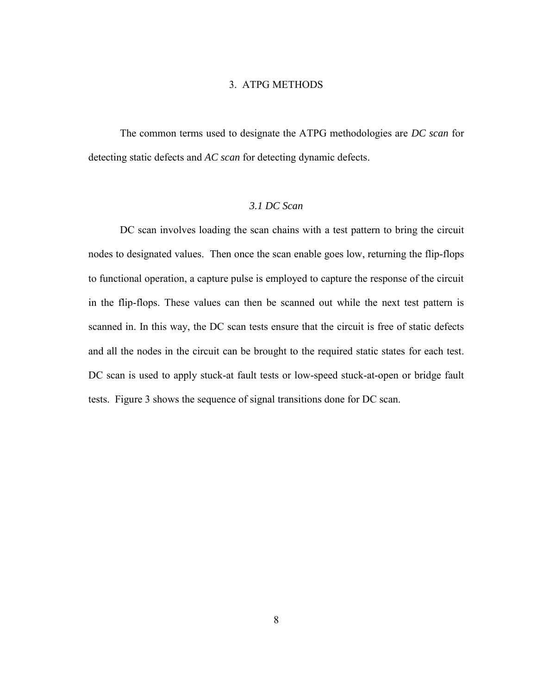# 3. ATPG METHODS

<span id="page-14-0"></span>The common terms used to designate the ATPG methodologies are *DC scan* for detecting static defects and *AC scan* for detecting dynamic defects.

# *3.1 DC Scan*

<span id="page-14-1"></span>DC scan involves loading the scan chains with a test pattern to bring the circuit nodes to designated values. Then once the scan enable goes low, returning the flip-flops to functional operation, a capture pulse is employed to capture the response of the circuit in the flip-flops. These values can then be scanned out while the next test pattern is scanned in. In this way, the DC scan tests ensure that the circuit is free of static defects and all the nodes in the circuit can be brought to the required static states for each test. DC scan is used to apply stuck-at fault tests or low-speed stuck-at-open or bridge fault tests. Figure 3 shows the sequence of signal transitions done for DC scan.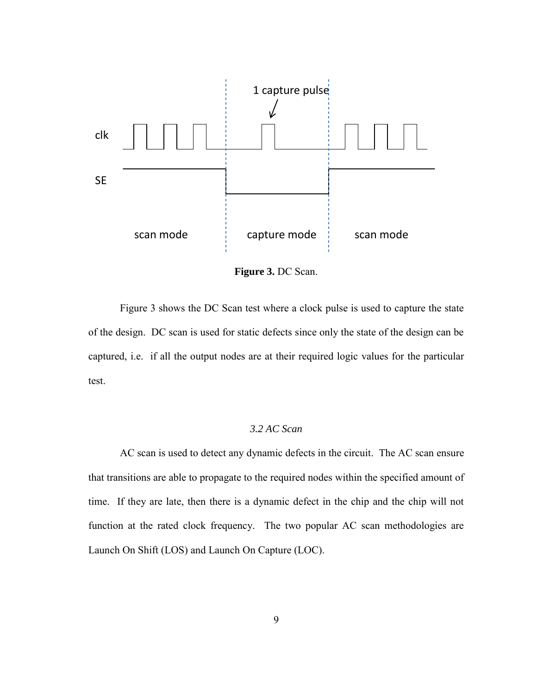

**Figure 3.** DC Scan.

<span id="page-15-1"></span> Figure 3 shows the DC Scan test where a clock pulse is used to capture the state of the design. DC scan is used for static defects since only the state of the design can be captured, i.e. if all the output nodes are at their required logic values for the particular test.

# *3.2 AC Scan*

<span id="page-15-0"></span>AC scan is used to detect any dynamic defects in the circuit. The AC scan ensure that transitions are able to propagate to the required nodes within the specified amount of time. If they are late, then there is a dynamic defect in the chip and the chip will not function at the rated clock frequency. The two popular AC scan methodologies are Launch On Shift (LOS) and Launch On Capture (LOC).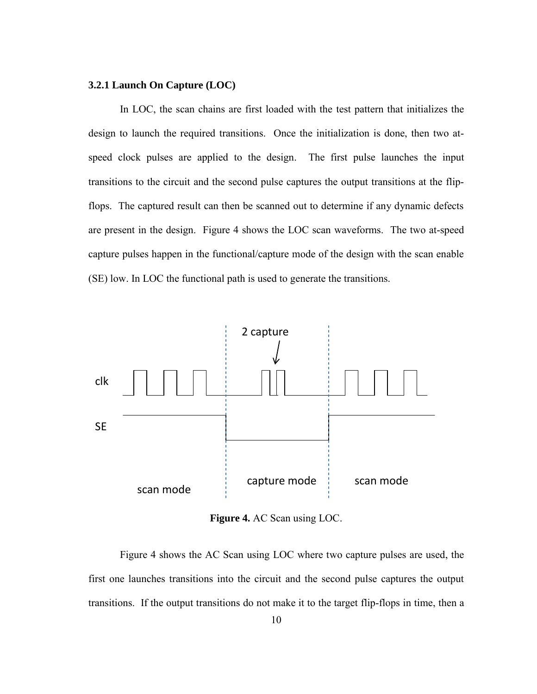## **3.2.1 Launch On Capture (LOC)**

In LOC, the scan chains are first loaded with the test pattern that initializes the design to launch the required transitions. Once the initialization is done, then two atspeed clock pulses are applied to the design. The first pulse launches the input transitions to the circuit and the second pulse captures the output transitions at the flipflops. The captured result can then be scanned out to determine if any dynamic defects are present in the design. Figure 4 shows the LOC scan waveforms. The two at-speed capture pulses happen in the functional/capture mode of the design with the scan enable (SE) low. In LOC the functional path is used to generate the transitions.



**Figure 4.** AC Scan using LOC.

<span id="page-16-0"></span> Figure 4 shows the AC Scan using LOC where two capture pulses are used, the first one launches transitions into the circuit and the second pulse captures the output transitions. If the output transitions do not make it to the target flip-flops in time, then a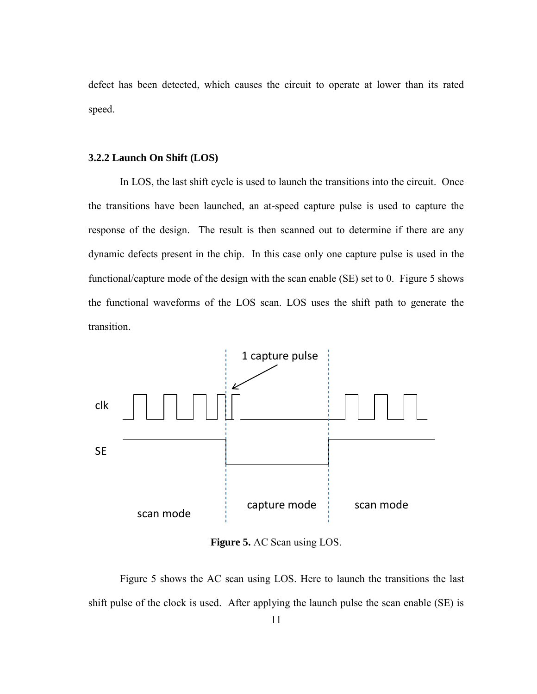defect has been detected, which causes the circuit to operate at lower than its rated speed.

#### **3.2.2 Launch On Shift (LOS)**

In LOS, the last shift cycle is used to launch the transitions into the circuit. Once the transitions have been launched, an at-speed capture pulse is used to capture the response of the design. The result is then scanned out to determine if there are any dynamic defects present in the chip. In this case only one capture pulse is used in the functional/capture mode of the design with the scan enable (SE) set to 0. Figure 5 shows the functional waveforms of the LOS scan. LOS uses the shift path to generate the transition.



**Figure 5.** AC Scan using LOS.

<span id="page-17-0"></span> Figure 5 shows the AC scan using LOS. Here to launch the transitions the last shift pulse of the clock is used. After applying the launch pulse the scan enable (SE) is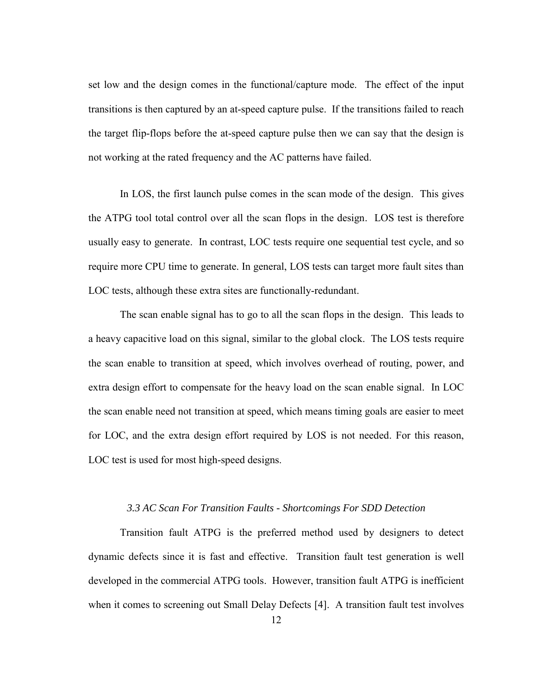set low and the design comes in the functional/capture mode. The effect of the input transitions is then captured by an at-speed capture pulse. If the transitions failed to reach the target flip-flops before the at-speed capture pulse then we can say that the design is not working at the rated frequency and the AC patterns have failed.

In LOS, the first launch pulse comes in the scan mode of the design. This gives the ATPG tool total control over all the scan flops in the design. LOS test is therefore usually easy to generate. In contrast, LOC tests require one sequential test cycle, and so require more CPU time to generate. In general, LOS tests can target more fault sites than LOC tests, although these extra sites are functionally-redundant.

The scan enable signal has to go to all the scan flops in the design. This leads to a heavy capacitive load on this signal, similar to the global clock. The LOS tests require the scan enable to transition at speed, which involves overhead of routing, power, and extra design effort to compensate for the heavy load on the scan enable signal. In LOC the scan enable need not transition at speed, which means timing goals are easier to meet for LOC, and the extra design effort required by LOS is not needed. For this reason, LOC test is used for most high-speed designs.

# *3.3 AC Scan For Transition Faults - Shortcomings For SDD Detection*

<span id="page-18-0"></span>Transition fault ATPG is the preferred method used by designers to detect dynamic defects since it is fast and effective. Transition fault test generation is well developed in the commercial ATPG tools. However, transition fault ATPG is inefficient when it comes to screening out Small Delay Defects [4]. A transition fault test involves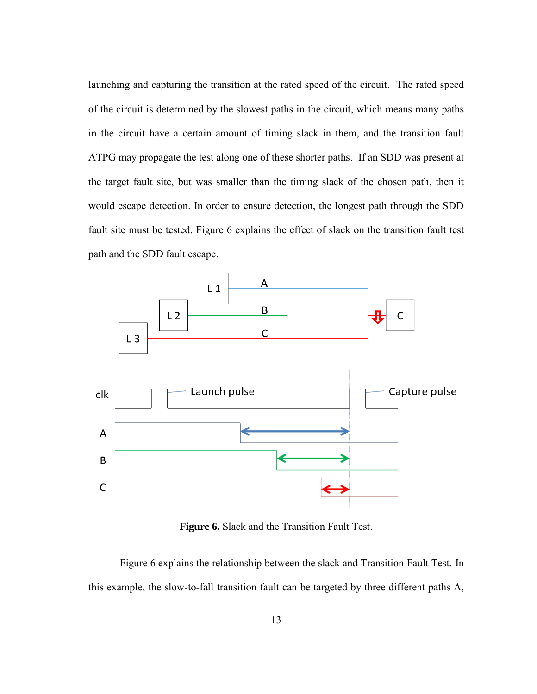launching and capturing the transition at the rated speed of the circuit. The rated speed of the circuit is determined by the slowest paths in the circuit, which means many paths in the circuit have a certain amount of timing slack in them, and the transition fault ATPG may propagate the test along one of these shorter paths. If an SDD was present at the target fault site, but was smaller than the timing slack of the chosen path, then it would escape detection. In order to ensure detection, the longest path through the SDD fault site must be tested. Figure 6 explains the effect of slack on the transition fault test path and the SDD fault escape.



**Figure 6.** Slack and the Transition Fault Test.

<span id="page-19-0"></span> Figure 6 explains the relationship between the slack and Transition Fault Test. In this example, the slow-to-fall transition fault can be targeted by three different paths A,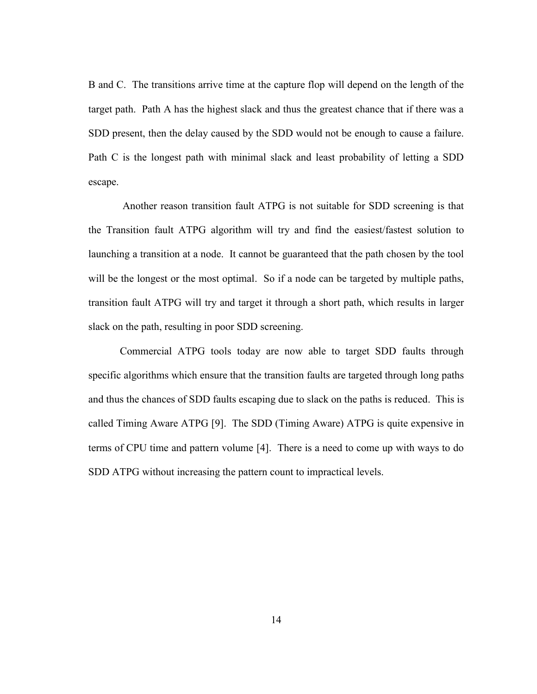B and C. The transitions arrive time at the capture flop will depend on the length of the target path. Path A has the highest slack and thus the greatest chance that if there was a SDD present, then the delay caused by the SDD would not be enough to cause a failure. Path C is the longest path with minimal slack and least probability of letting a SDD escape.

Another reason transition fault ATPG is not suitable for SDD screening is that the Transition fault ATPG algorithm will try and find the easiest/fastest solution to launching a transition at a node. It cannot be guaranteed that the path chosen by the tool will be the longest or the most optimal. So if a node can be targeted by multiple paths, transition fault ATPG will try and target it through a short path, which results in larger slack on the path, resulting in poor SDD screening.

Commercial ATPG tools today are now able to target SDD faults through specific algorithms which ensure that the transition faults are targeted through long paths and thus the chances of SDD faults escaping due to slack on the paths is reduced. This is called Timing Aware ATPG [9]. The SDD (Timing Aware) ATPG is quite expensive in terms of CPU time and pattern volume [4]. There is a need to come up with ways to do SDD ATPG without increasing the pattern count to impractical levels.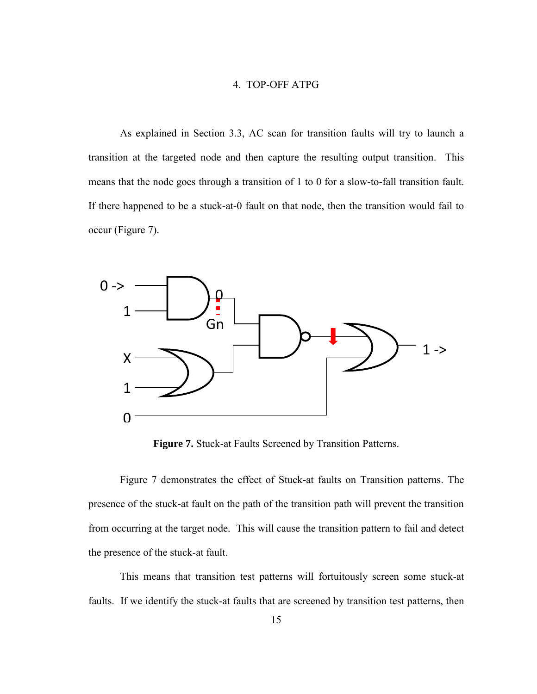# 4. TOP-OFF ATPG

<span id="page-21-0"></span>As explained in Section 3.3, AC scan for transition faults will try to launch a transition at the targeted node and then capture the resulting output transition. This means that the node goes through a transition of 1 to 0 for a slow-to-fall transition fault. If there happened to be a stuck-at-0 fault on that node, then the transition would fail to occur (Figure 7).



**Figure 7.** Stuck-at Faults Screened by Transition Patterns.

<span id="page-21-1"></span> Figure 7 demonstrates the effect of Stuck-at faults on Transition patterns. The presence of the stuck-at fault on the path of the transition path will prevent the transition from occurring at the target node. This will cause the transition pattern to fail and detect the presence of the stuck-at fault.

 This means that transition test patterns will fortuitously screen some stuck-at faults. If we identify the stuck-at faults that are screened by transition test patterns, then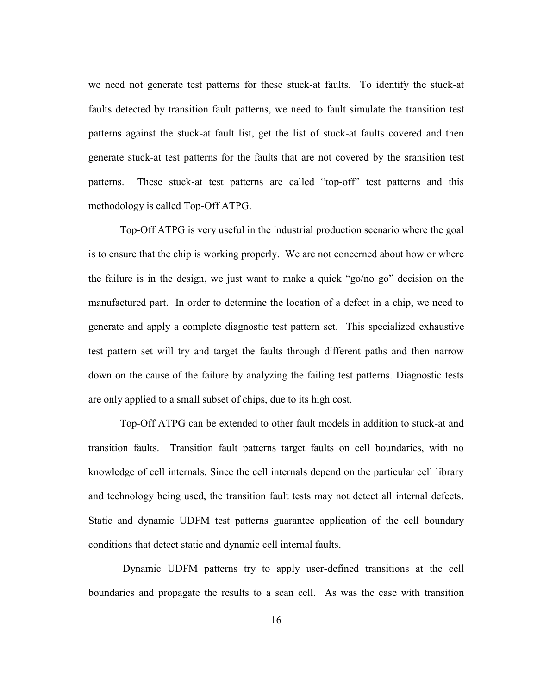we need not generate test patterns for these stuck-at faults. To identify the stuck-at faults detected by transition fault patterns, we need to fault simulate the transition test patterns against the stuck-at fault list, get the list of stuck-at faults covered and then generate stuck-at test patterns for the faults that are not covered by the sransition test patterns. These stuck-at test patterns are called "top-off" test patterns and this methodology is called Top-Off ATPG.

Top-Off ATPG is very useful in the industrial production scenario where the goal is to ensure that the chip is working properly. We are not concerned about how or where the failure is in the design, we just want to make a quick "go/no go" decision on the manufactured part. In order to determine the location of a defect in a chip, we need to generate and apply a complete diagnostic test pattern set. This specialized exhaustive test pattern set will try and target the faults through different paths and then narrow down on the cause of the failure by analyzing the failing test patterns. Diagnostic tests are only applied to a small subset of chips, due to its high cost.

Top-Off ATPG can be extended to other fault models in addition to stuck-at and transition faults. Transition fault patterns target faults on cell boundaries, with no knowledge of cell internals. Since the cell internals depend on the particular cell library and technology being used, the transition fault tests may not detect all internal defects. Static and dynamic UDFM test patterns guarantee application of the cell boundary conditions that detect static and dynamic cell internal faults.

Dynamic UDFM patterns try to apply user-defined transitions at the cell boundaries and propagate the results to a scan cell. As was the case with transition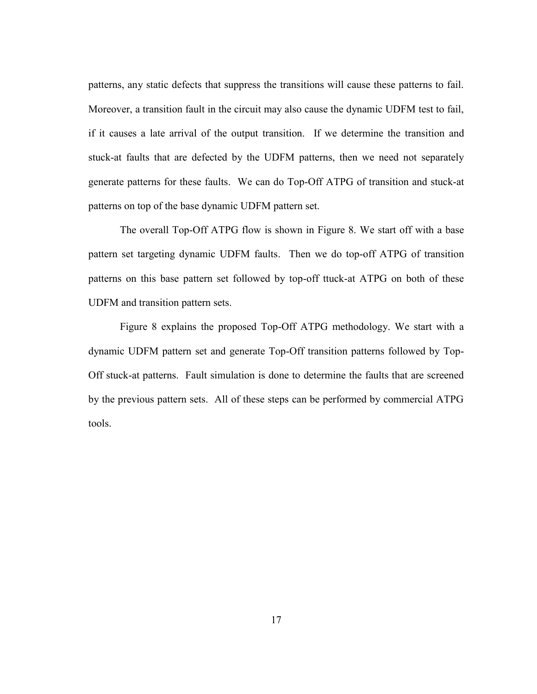patterns, any static defects that suppress the transitions will cause these patterns to fail. Moreover, a transition fault in the circuit may also cause the dynamic UDFM test to fail, if it causes a late arrival of the output transition. If we determine the transition and stuck-at faults that are defected by the UDFM patterns, then we need not separately generate patterns for these faults. We can do Top-Off ATPG of transition and stuck-at patterns on top of the base dynamic UDFM pattern set.

The overall Top-Off ATPG flow is shown in Figure 8. We start off with a base pattern set targeting dynamic UDFM faults. Then we do top-off ATPG of transition patterns on this base pattern set followed by top-off ttuck-at ATPG on both of these UDFM and transition pattern sets.

 Figure 8 explains the proposed Top-Off ATPG methodology. We start with a dynamic UDFM pattern set and generate Top-Off transition patterns followed by Top-Off stuck-at patterns. Fault simulation is done to determine the faults that are screened by the previous pattern sets. All of these steps can be performed by commercial ATPG tools.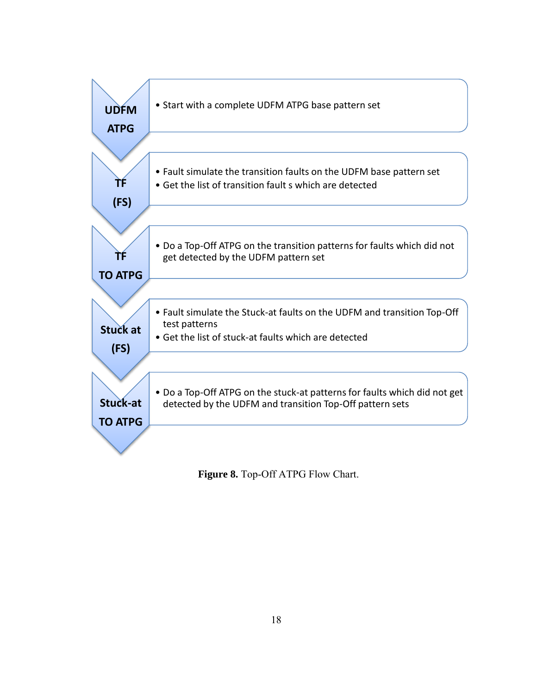

<span id="page-24-0"></span>**Figure 8.** Top-Off ATPG Flow Chart.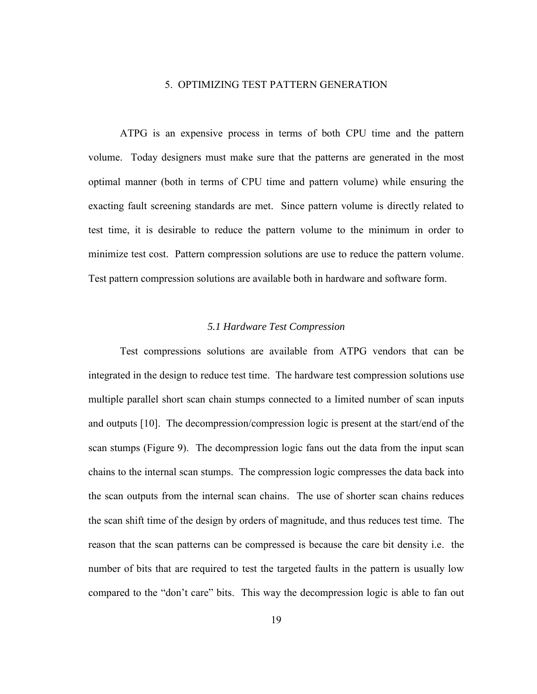## 5. OPTIMIZING TEST PATTERN GENERATION

<span id="page-25-0"></span>ATPG is an expensive process in terms of both CPU time and the pattern volume. Today designers must make sure that the patterns are generated in the most optimal manner (both in terms of CPU time and pattern volume) while ensuring the exacting fault screening standards are met. Since pattern volume is directly related to test time, it is desirable to reduce the pattern volume to the minimum in order to minimize test cost. Pattern compression solutions are use to reduce the pattern volume. Test pattern compression solutions are available both in hardware and software form.

#### *5.1 Hardware Test Compression*

<span id="page-25-1"></span>Test compressions solutions are available from ATPG vendors that can be integrated in the design to reduce test time. The hardware test compression solutions use multiple parallel short scan chain stumps connected to a limited number of scan inputs and outputs [10]. The decompression/compression logic is present at the start/end of the scan stumps (Figure 9). The decompression logic fans out the data from the input scan chains to the internal scan stumps. The compression logic compresses the data back into the scan outputs from the internal scan chains. The use of shorter scan chains reduces the scan shift time of the design by orders of magnitude, and thus reduces test time. The reason that the scan patterns can be compressed is because the care bit density i.e. the number of bits that are required to test the targeted faults in the pattern is usually low compared to the "don't care" bits. This way the decompression logic is able to fan out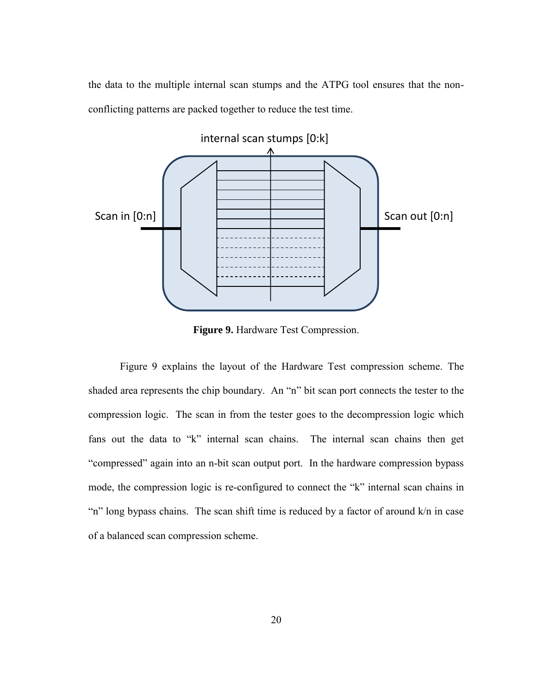the data to the multiple internal scan stumps and the ATPG tool ensures that the nonconflicting patterns are packed together to reduce the test time.



**Figure 9.** Hardware Test Compression.

<span id="page-26-0"></span> Figure 9 explains the layout of the Hardware Test compression scheme. The shaded area represents the chip boundary. An "n" bit scan port connects the tester to the compression logic. The scan in from the tester goes to the decompression logic which fans out the data to "k" internal scan chains. The internal scan chains then get "compressed" again into an n-bit scan output port. In the hardware compression bypass mode, the compression logic is re-configured to connect the "k" internal scan chains in "n" long bypass chains. The scan shift time is reduced by a factor of around k/n in case of a balanced scan compression scheme.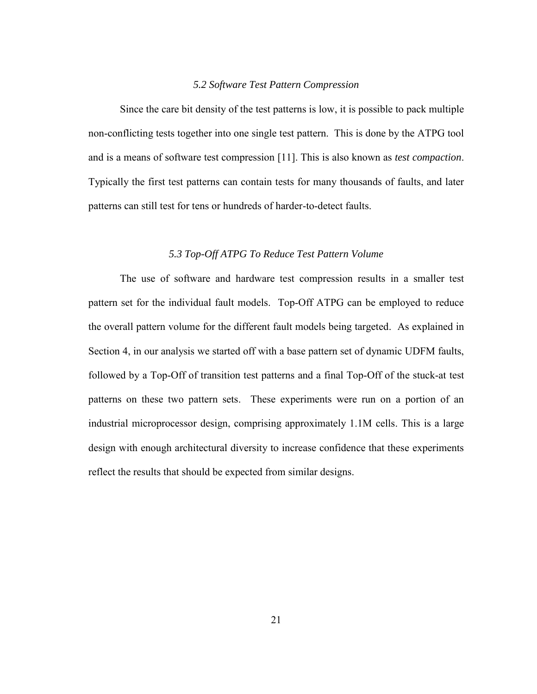## *5.2 Software Test Pattern Compression*

<span id="page-27-0"></span>Since the care bit density of the test patterns is low, it is possible to pack multiple non-conflicting tests together into one single test pattern. This is done by the ATPG tool and is a means of software test compression [11]. This is also known as *test compaction*. Typically the first test patterns can contain tests for many thousands of faults, and later patterns can still test for tens or hundreds of harder-to-detect faults.

#### *5.3 Top-Off ATPG To Reduce Test Pattern Volume*

<span id="page-27-1"></span>The use of software and hardware test compression results in a smaller test pattern set for the individual fault models. Top-Off ATPG can be employed to reduce the overall pattern volume for the different fault models being targeted. As explained in Section 4, in our analysis we started off with a base pattern set of dynamic UDFM faults, followed by a Top-Off of transition test patterns and a final Top-Off of the stuck-at test patterns on these two pattern sets. These experiments were run on a portion of an industrial microprocessor design, comprising approximately 1.1M cells. This is a large design with enough architectural diversity to increase confidence that these experiments reflect the results that should be expected from similar designs.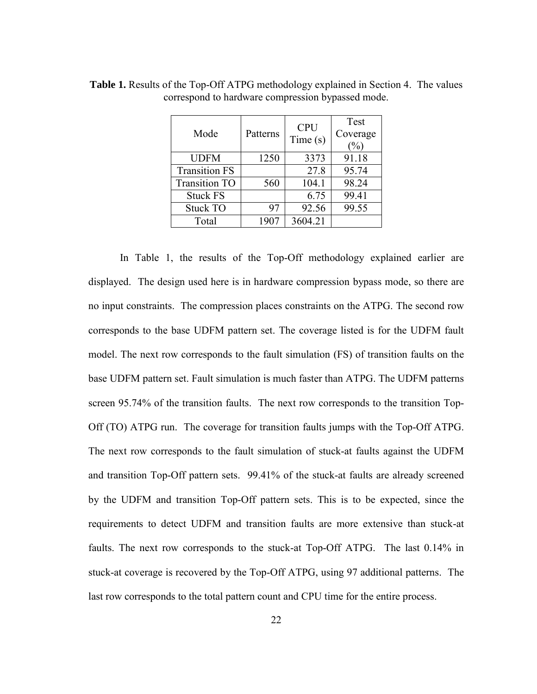| Mode                 | Patterns | <b>CPU</b><br>Time(s) | Test<br>Coverage<br>$\%$ |
|----------------------|----------|-----------------------|--------------------------|
| <b>UDFM</b>          | 1250     | 3373                  | 91.18                    |
| <b>Transition FS</b> |          | 27.8                  | 95.74                    |
| <b>Transition TO</b> | 560      | 104.1                 | 98.24                    |
| <b>Stuck FS</b>      |          | 6.75                  | 99.41                    |
| Stuck TO             | 97       | 92.56                 | 99.55                    |
| Total                | 1907     | 3604.21               |                          |

<span id="page-28-0"></span>**Table 1.** Results of the Top-Off ATPG methodology explained in Section 4. The values correspond to hardware compression bypassed mode.

In Table 1, the results of the Top-Off methodology explained earlier are displayed. The design used here is in hardware compression bypass mode, so there are no input constraints. The compression places constraints on the ATPG. The second row corresponds to the base UDFM pattern set. The coverage listed is for the UDFM fault model. The next row corresponds to the fault simulation (FS) of transition faults on the base UDFM pattern set. Fault simulation is much faster than ATPG. The UDFM patterns screen 95.74% of the transition faults. The next row corresponds to the transition Top-Off (TO) ATPG run. The coverage for transition faults jumps with the Top-Off ATPG. The next row corresponds to the fault simulation of stuck-at faults against the UDFM and transition Top-Off pattern sets. 99.41% of the stuck-at faults are already screened by the UDFM and transition Top-Off pattern sets. This is to be expected, since the requirements to detect UDFM and transition faults are more extensive than stuck-at faults. The next row corresponds to the stuck-at Top-Off ATPG. The last 0.14% in stuck-at coverage is recovered by the Top-Off ATPG, using 97 additional patterns. The last row corresponds to the total pattern count and CPU time for the entire process.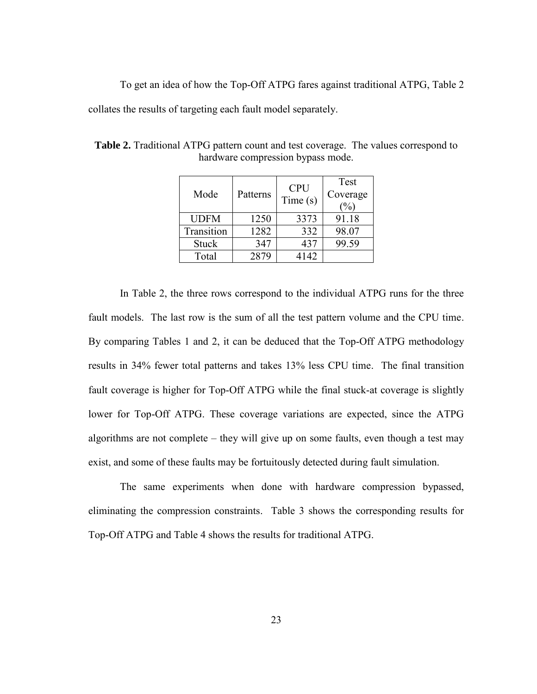To get an idea of how the Top-Off ATPG fares against traditional ATPG, Table 2

collates the results of targeting each fault model separately.

| Mode         | Patterns | <b>CPU</b><br>Time(s) | Test<br>Coverage<br>$\frac{1}{2}$ |
|--------------|----------|-----------------------|-----------------------------------|
| <b>UDFM</b>  | 1250     | 3373                  | 91.18                             |
| Transition   | 1282     | 332                   | 98.07                             |
| <b>Stuck</b> | 347      | 437                   | 99.59                             |
| Total        | 2879     | 4142                  |                                   |

<span id="page-29-0"></span>**Table 2.** Traditional ATPG pattern count and test coverage. The values correspond to hardware compression bypass mode.

In Table 2, the three rows correspond to the individual ATPG runs for the three fault models. The last row is the sum of all the test pattern volume and the CPU time. By comparing Tables 1 and 2, it can be deduced that the Top-Off ATPG methodology results in 34% fewer total patterns and takes 13% less CPU time. The final transition fault coverage is higher for Top-Off ATPG while the final stuck-at coverage is slightly lower for Top-Off ATPG. These coverage variations are expected, since the ATPG algorithms are not complete – they will give up on some faults, even though a test may exist, and some of these faults may be fortuitously detected during fault simulation.

The same experiments when done with hardware compression bypassed, eliminating the compression constraints. Table 3 shows the corresponding results for Top-Off ATPG and Table 4 shows the results for traditional ATPG.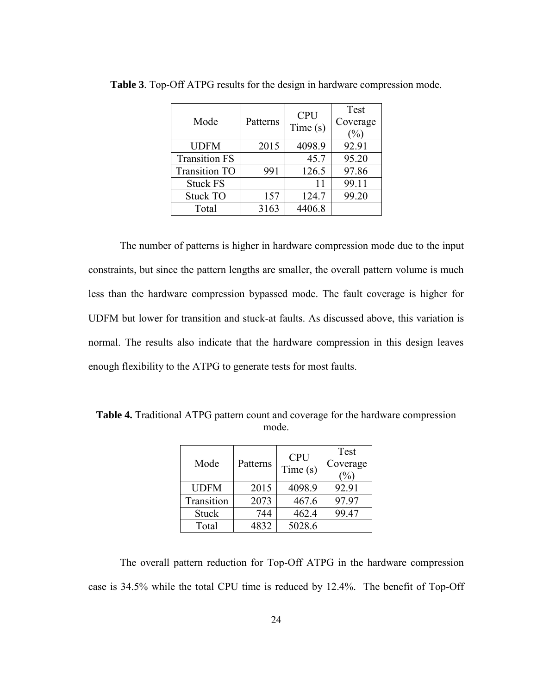| Mode                 | Patterns | <b>CPU</b><br>Time(s) | Test<br>Coverage<br>$\frac{1}{2}$ |
|----------------------|----------|-----------------------|-----------------------------------|
| <b>UDFM</b>          | 2015     | 4098.9                | 92.91                             |
| <b>Transition FS</b> |          | 45.7                  | 95.20                             |
| <b>Transition TO</b> | 991      | 126.5                 | 97.86                             |
| <b>Stuck FS</b>      |          | 11                    | 99.11                             |
| <b>Stuck TO</b>      | 157      | 124.7                 | 99.20                             |
| Total                | 3163     | 4406.8                |                                   |

<span id="page-30-0"></span>**Table 3**. Top-Off ATPG results for the design in hardware compression mode.

The number of patterns is higher in hardware compression mode due to the input constraints, but since the pattern lengths are smaller, the overall pattern volume is much less than the hardware compression bypassed mode. The fault coverage is higher for UDFM but lower for transition and stuck-at faults. As discussed above, this variation is normal. The results also indicate that the hardware compression in this design leaves enough flexibility to the ATPG to generate tests for most faults.

<span id="page-30-1"></span>**Table 4.** Traditional ATPG pattern count and coverage for the hardware compression mode.

| Mode         | Patterns | <b>CPU</b><br>Time(s) | Test<br>Coverage<br>$\%$ |
|--------------|----------|-----------------------|--------------------------|
| <b>UDFM</b>  | 2015     | 4098.9                | 92.91                    |
| Transition   | 2073     | 467.6                 | 97.97                    |
| <b>Stuck</b> | 744      | 462.4                 | 99.47                    |
| Total        | 4832     | 5028.6                |                          |

The overall pattern reduction for Top-Off ATPG in the hardware compression case is 34.5% while the total CPU time is reduced by 12.4%. The benefit of Top-Off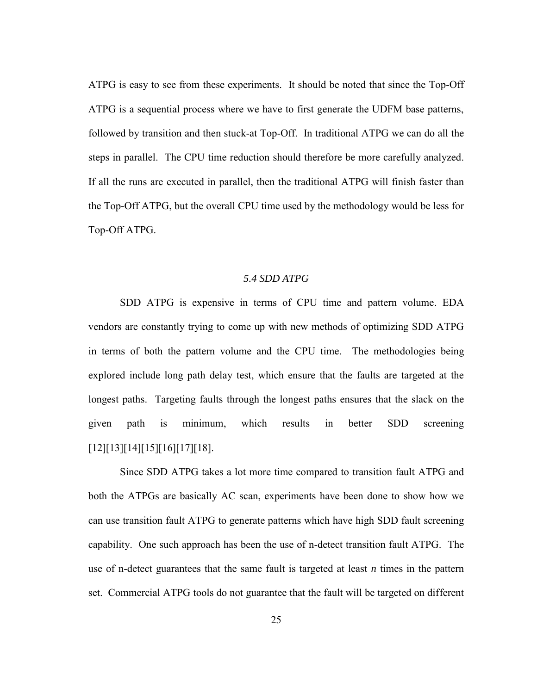ATPG is easy to see from these experiments. It should be noted that since the Top-Off ATPG is a sequential process where we have to first generate the UDFM base patterns, followed by transition and then stuck-at Top-Off. In traditional ATPG we can do all the steps in parallel. The CPU time reduction should therefore be more carefully analyzed. If all the runs are executed in parallel, then the traditional ATPG will finish faster than the Top-Off ATPG, but the overall CPU time used by the methodology would be less for Top-Off ATPG.

### *5.4 SDD ATPG*

<span id="page-31-0"></span>SDD ATPG is expensive in terms of CPU time and pattern volume. EDA vendors are constantly trying to come up with new methods of optimizing SDD ATPG in terms of both the pattern volume and the CPU time. The methodologies being explored include long path delay test, which ensure that the faults are targeted at the longest paths. Targeting faults through the longest paths ensures that the slack on the given path is minimum, which results in better SDD screening [12][13][14][15][16][17][18].

Since SDD ATPG takes a lot more time compared to transition fault ATPG and both the ATPGs are basically AC scan, experiments have been done to show how we can use transition fault ATPG to generate patterns which have high SDD fault screening capability. One such approach has been the use of n-detect transition fault ATPG. The use of n-detect guarantees that the same fault is targeted at least *n* times in the pattern set. Commercial ATPG tools do not guarantee that the fault will be targeted on different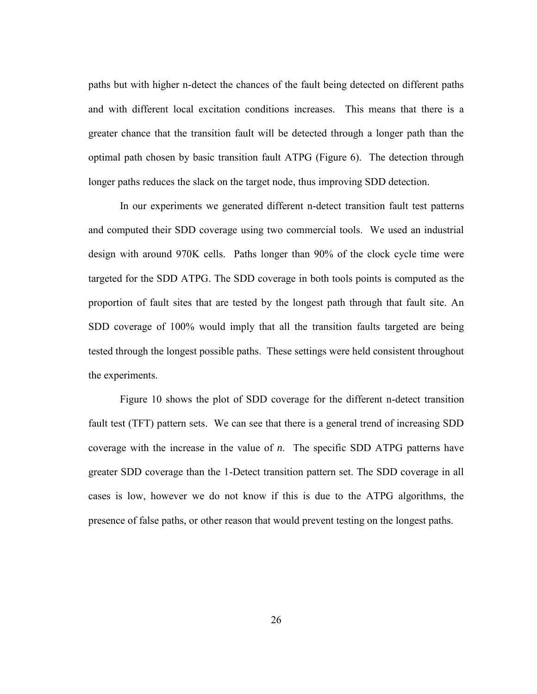paths but with higher n-detect the chances of the fault being detected on different paths and with different local excitation conditions increases. This means that there is a greater chance that the transition fault will be detected through a longer path than the optimal path chosen by basic transition fault ATPG (Figure 6). The detection through longer paths reduces the slack on the target node, thus improving SDD detection.

In our experiments we generated different n-detect transition fault test patterns and computed their SDD coverage using two commercial tools. We used an industrial design with around 970K cells. Paths longer than 90% of the clock cycle time were targeted for the SDD ATPG. The SDD coverage in both tools points is computed as the proportion of fault sites that are tested by the longest path through that fault site. An SDD coverage of 100% would imply that all the transition faults targeted are being tested through the longest possible paths. These settings were held consistent throughout the experiments.

Figure 10 shows the plot of SDD coverage for the different n-detect transition fault test (TFT) pattern sets. We can see that there is a general trend of increasing SDD coverage with the increase in the value of *n*. The specific SDD ATPG patterns have greater SDD coverage than the 1-Detect transition pattern set. The SDD coverage in all cases is low, however we do not know if this is due to the ATPG algorithms, the presence of false paths, or other reason that would prevent testing on the longest paths.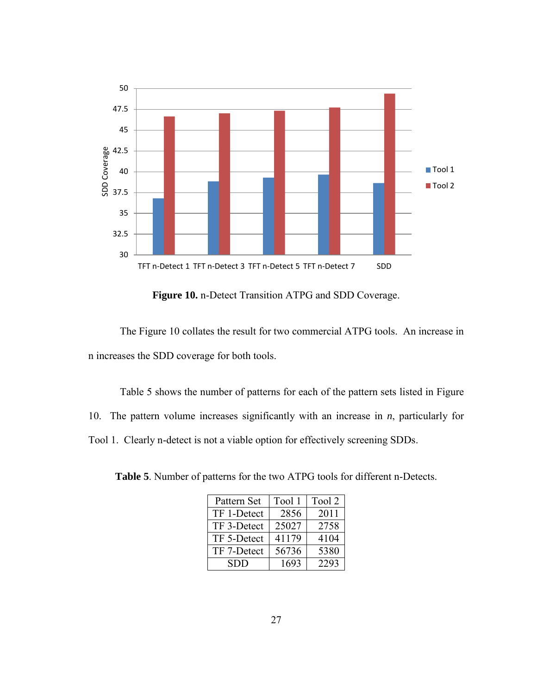

**Figure 10.** n-Detect Transition ATPG and SDD Coverage.

<span id="page-33-0"></span> The Figure 10 collates the result for two commercial ATPG tools. An increase in n increases the SDD coverage for both tools.

 Table 5 shows the number of patterns for each of the pattern sets listed in Figure 10. The pattern volume increases significantly with an increase in *n*, particularly for Tool 1. Clearly n-detect is not a viable option for effectively screening SDDs.

<span id="page-33-1"></span>**Table 5**. Number of patterns for the two ATPG tools for different n-Detects.

| Pattern Set | Tool 1 | Tool 2 |
|-------------|--------|--------|
| TF 1-Detect | 2856   | 2011   |
| TF 3-Detect | 25027  | 2758   |
| TF 5-Detect | 41179  | 4104   |
| TF 7-Detect | 56736  | 5380   |
| <b>SDD</b>  | 1693   | 2293   |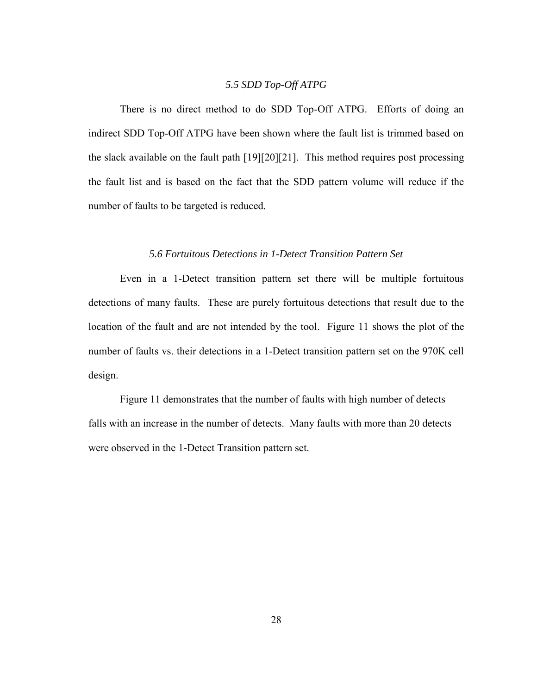# *5.5 SDD Top-Off ATPG*

<span id="page-34-0"></span>There is no direct method to do SDD Top-Off ATPG. Efforts of doing an indirect SDD Top-Off ATPG have been shown where the fault list is trimmed based on the slack available on the fault path [19][20][21]. This method requires post processing the fault list and is based on the fact that the SDD pattern volume will reduce if the number of faults to be targeted is reduced.

# *5.6 Fortuitous Detections in 1-Detect Transition Pattern Set*

<span id="page-34-1"></span>Even in a 1-Detect transition pattern set there will be multiple fortuitous detections of many faults. These are purely fortuitous detections that result due to the location of the fault and are not intended by the tool. Figure 11 shows the plot of the number of faults vs. their detections in a 1-Detect transition pattern set on the 970K cell design.

 Figure 11 demonstrates that the number of faults with high number of detects falls with an increase in the number of detects. Many faults with more than 20 detects were observed in the 1-Detect Transition pattern set.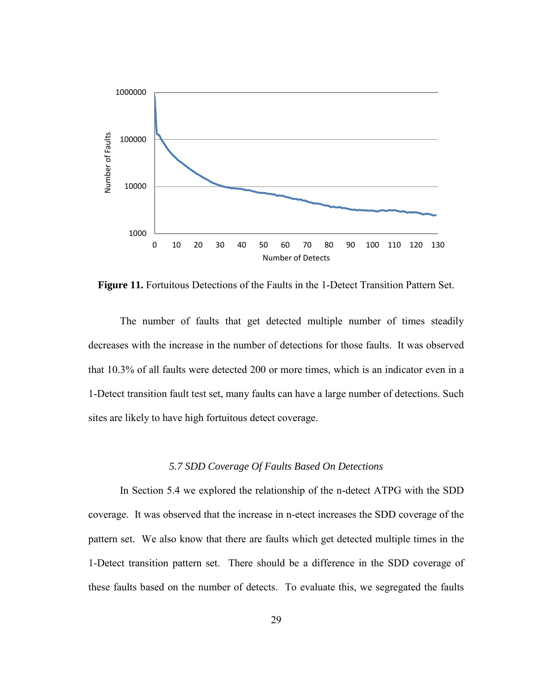

<span id="page-35-1"></span>**Figure 11.** Fortuitous Detections of the Faults in the 1-Detect Transition Pattern Set.

The number of faults that get detected multiple number of times steadily decreases with the increase in the number of detections for those faults. It was observed that 10.3% of all faults were detected 200 or more times, which is an indicator even in a 1-Detect transition fault test set, many faults can have a large number of detections. Such sites are likely to have high fortuitous detect coverage.

#### *5.7 SDD Coverage Of Faults Based On Detections*

<span id="page-35-0"></span>In Section 5.4 we explored the relationship of the n-detect ATPG with the SDD coverage. It was observed that the increase in n-etect increases the SDD coverage of the pattern set. We also know that there are faults which get detected multiple times in the 1-Detect transition pattern set. There should be a difference in the SDD coverage of these faults based on the number of detects. To evaluate this, we segregated the faults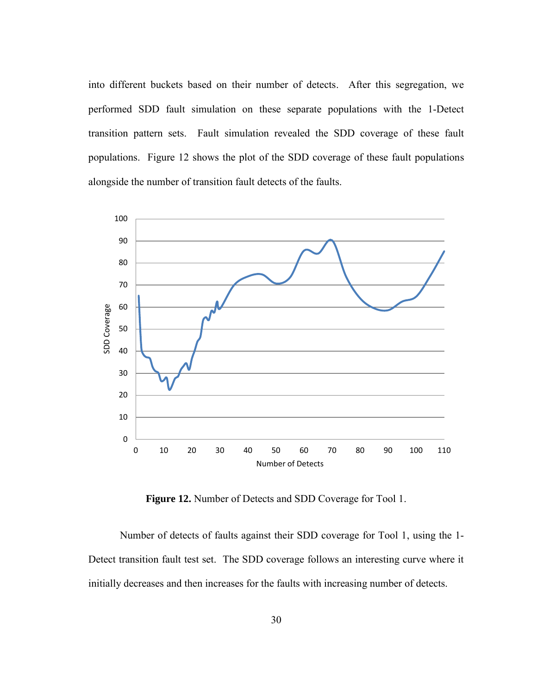into different buckets based on their number of detects. After this segregation, we performed SDD fault simulation on these separate populations with the 1-Detect transition pattern sets. Fault simulation revealed the SDD coverage of these fault populations. Figure 12 shows the plot of the SDD coverage of these fault populations alongside the number of transition fault detects of the faults.



**Figure 12.** Number of Detects and SDD Coverage for Tool 1.

<span id="page-36-0"></span> Number of detects of faults against their SDD coverage for Tool 1, using the 1- Detect transition fault test set. The SDD coverage follows an interesting curve where it initially decreases and then increases for the faults with increasing number of detects.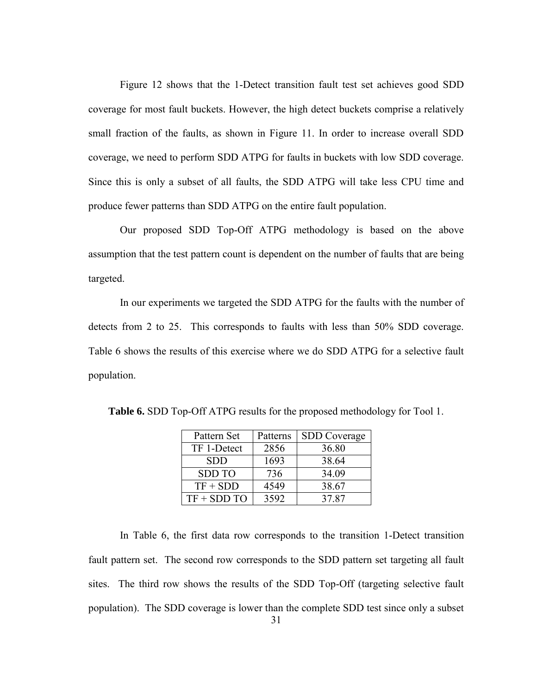Figure 12 shows that the 1-Detect transition fault test set achieves good SDD coverage for most fault buckets. However, the high detect buckets comprise a relatively small fraction of the faults, as shown in Figure 11. In order to increase overall SDD coverage, we need to perform SDD ATPG for faults in buckets with low SDD coverage. Since this is only a subset of all faults, the SDD ATPG will take less CPU time and produce fewer patterns than SDD ATPG on the entire fault population.

Our proposed SDD Top-Off ATPG methodology is based on the above assumption that the test pattern count is dependent on the number of faults that are being targeted.

In our experiments we targeted the SDD ATPG for the faults with the number of detects from 2 to 25. This corresponds to faults with less than 50% SDD coverage. Table 6 shows the results of this exercise where we do SDD ATPG for a selective fault population.

| Pattern Set   | Patterns | <b>SDD</b> Coverage |
|---------------|----------|---------------------|
| TF 1-Detect   | 2856     | 36.80               |
| <b>SDD</b>    | 1693     | 38.64               |
| <b>SDD TO</b> | 736      | 34.09               |
| $TF + SDD$    | 4549     | 38.67               |
| $TF + SDD TO$ | 3592     | 37.87               |

<span id="page-37-0"></span>**Table 6.** SDD Top-Off ATPG results for the proposed methodology for Tool 1.

In Table 6, the first data row corresponds to the transition 1-Detect transition fault pattern set. The second row corresponds to the SDD pattern set targeting all fault sites. The third row shows the results of the SDD Top-Off (targeting selective fault population). The SDD coverage is lower than the complete SDD test since only a subset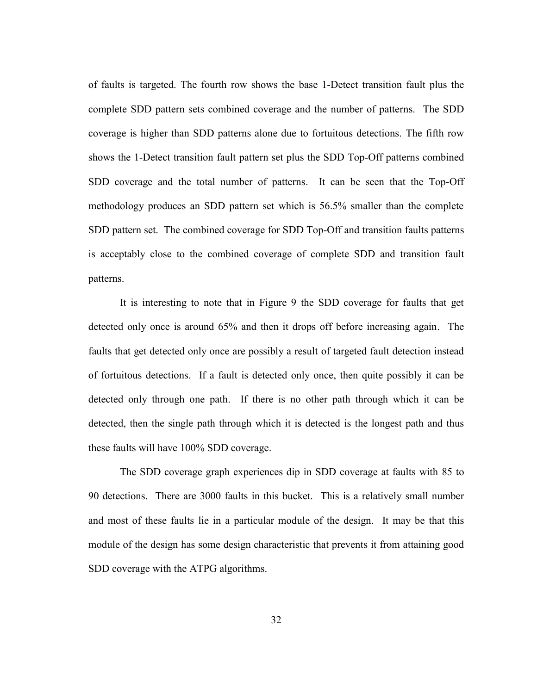of faults is targeted. The fourth row shows the base 1-Detect transition fault plus the complete SDD pattern sets combined coverage and the number of patterns. The SDD coverage is higher than SDD patterns alone due to fortuitous detections. The fifth row shows the 1-Detect transition fault pattern set plus the SDD Top-Off patterns combined SDD coverage and the total number of patterns. It can be seen that the Top-Off methodology produces an SDD pattern set which is 56.5% smaller than the complete SDD pattern set. The combined coverage for SDD Top-Off and transition faults patterns is acceptably close to the combined coverage of complete SDD and transition fault patterns.

It is interesting to note that in Figure 9 the SDD coverage for faults that get detected only once is around 65% and then it drops off before increasing again. The faults that get detected only once are possibly a result of targeted fault detection instead of fortuitous detections. If a fault is detected only once, then quite possibly it can be detected only through one path. If there is no other path through which it can be detected, then the single path through which it is detected is the longest path and thus these faults will have 100% SDD coverage.

The SDD coverage graph experiences dip in SDD coverage at faults with 85 to 90 detections. There are 3000 faults in this bucket. This is a relatively small number and most of these faults lie in a particular module of the design. It may be that this module of the design has some design characteristic that prevents it from attaining good SDD coverage with the ATPG algorithms.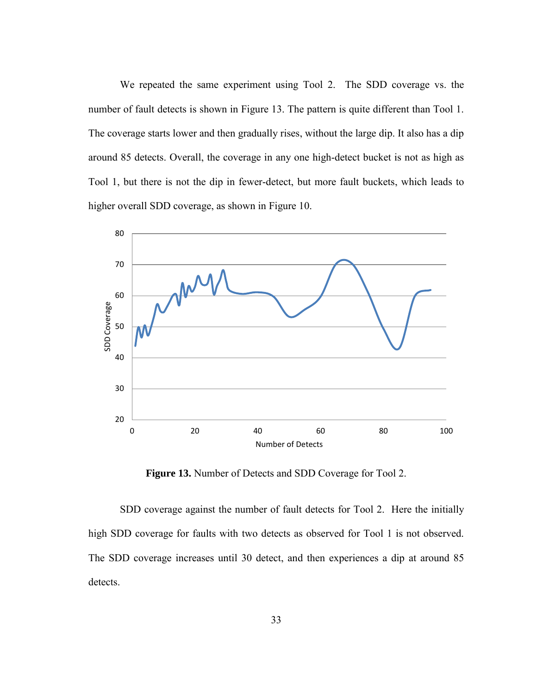We repeated the same experiment using Tool 2. The SDD coverage vs. the number of fault detects is shown in Figure 13. The pattern is quite different than Tool 1. The coverage starts lower and then gradually rises, without the large dip. It also has a dip around 85 detects. Overall, the coverage in any one high-detect bucket is not as high as Tool 1, but there is not the dip in fewer-detect, but more fault buckets, which leads to higher overall SDD coverage, as shown in Figure 10.



**Figure 13.** Number of Detects and SDD Coverage for Tool 2.

<span id="page-39-0"></span> SDD coverage against the number of fault detects for Tool 2. Here the initially high SDD coverage for faults with two detects as observed for Tool 1 is not observed. The SDD coverage increases until 30 detect, and then experiences a dip at around 85 detects.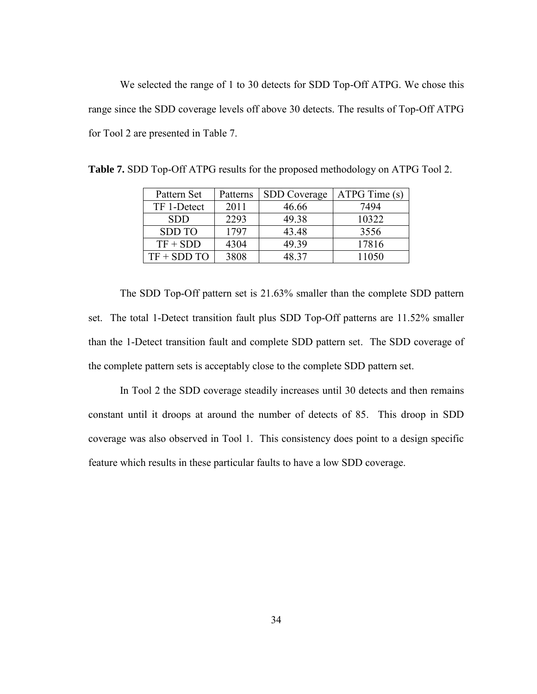We selected the range of 1 to 30 detects for SDD Top-Off ATPG. We chose this range since the SDD coverage levels off above 30 detects. The results of Top-Off ATPG for Tool 2 are presented in Table 7.

| Pattern Set   | Patterns | <b>SDD</b> Coverage | $ATPG$ Time $(s)$ |
|---------------|----------|---------------------|-------------------|
| TF 1-Detect   | 2011     | 46.66               | 7494              |
| <b>SDD</b>    | 2293     | 49.38               | 10322             |
| <b>SDD TO</b> | 1797     | 43.48               | 3556              |
| $TF + SDD$    | 4304     | 49.39               | 17816             |
| $TF + SDD TO$ | 3808     | 48 37               | 11050             |

<span id="page-40-0"></span>**Table 7.** SDD Top-Off ATPG results for the proposed methodology on ATPG Tool 2.

The SDD Top-Off pattern set is 21.63% smaller than the complete SDD pattern set. The total 1-Detect transition fault plus SDD Top-Off patterns are 11.52% smaller than the 1-Detect transition fault and complete SDD pattern set. The SDD coverage of the complete pattern sets is acceptably close to the complete SDD pattern set.

In Tool 2 the SDD coverage steadily increases until 30 detects and then remains constant until it droops at around the number of detects of 85. This droop in SDD coverage was also observed in Tool 1. This consistency does point to a design specific feature which results in these particular faults to have a low SDD coverage.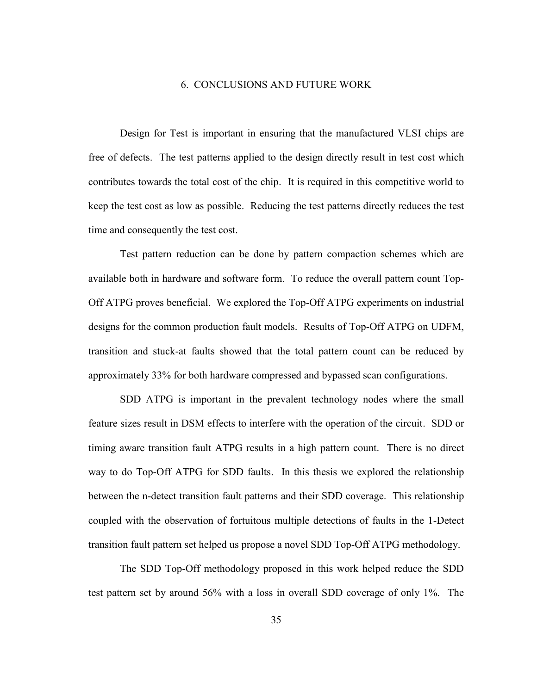## 6. CONCLUSIONS AND FUTURE WORK

<span id="page-41-0"></span>Design for Test is important in ensuring that the manufactured VLSI chips are free of defects. The test patterns applied to the design directly result in test cost which contributes towards the total cost of the chip. It is required in this competitive world to keep the test cost as low as possible. Reducing the test patterns directly reduces the test time and consequently the test cost.

 Test pattern reduction can be done by pattern compaction schemes which are available both in hardware and software form. To reduce the overall pattern count Top-Off ATPG proves beneficial. We explored the Top-Off ATPG experiments on industrial designs for the common production fault models. Results of Top-Off ATPG on UDFM, transition and stuck-at faults showed that the total pattern count can be reduced by approximately 33% for both hardware compressed and bypassed scan configurations.

 SDD ATPG is important in the prevalent technology nodes where the small feature sizes result in DSM effects to interfere with the operation of the circuit. SDD or timing aware transition fault ATPG results in a high pattern count. There is no direct way to do Top-Off ATPG for SDD faults. In this thesis we explored the relationship between the n-detect transition fault patterns and their SDD coverage. This relationship coupled with the observation of fortuitous multiple detections of faults in the 1-Detect transition fault pattern set helped us propose a novel SDD Top-Off ATPG methodology.

 The SDD Top-Off methodology proposed in this work helped reduce the SDD test pattern set by around 56% with a loss in overall SDD coverage of only 1%. The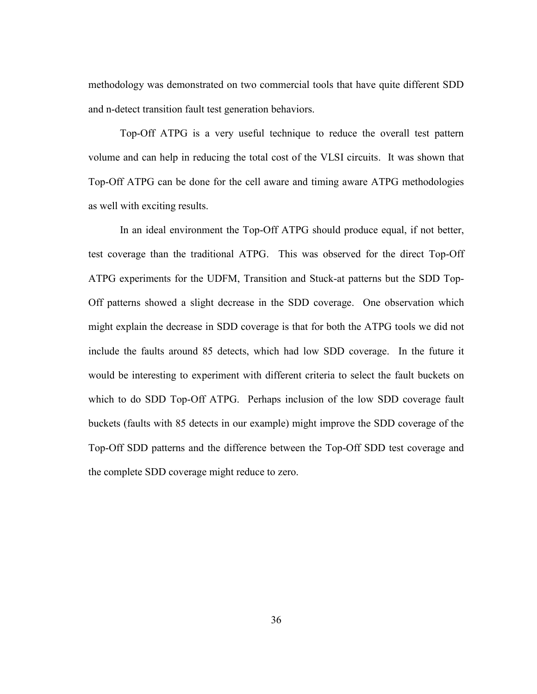methodology was demonstrated on two commercial tools that have quite different SDD and n-detect transition fault test generation behaviors.

 Top-Off ATPG is a very useful technique to reduce the overall test pattern volume and can help in reducing the total cost of the VLSI circuits. It was shown that Top-Off ATPG can be done for the cell aware and timing aware ATPG methodologies as well with exciting results.

 In an ideal environment the Top-Off ATPG should produce equal, if not better, test coverage than the traditional ATPG. This was observed for the direct Top-Off ATPG experiments for the UDFM, Transition and Stuck-at patterns but the SDD Top-Off patterns showed a slight decrease in the SDD coverage. One observation which might explain the decrease in SDD coverage is that for both the ATPG tools we did not include the faults around 85 detects, which had low SDD coverage. In the future it would be interesting to experiment with different criteria to select the fault buckets on which to do SDD Top-Off ATPG. Perhaps inclusion of the low SDD coverage fault buckets (faults with 85 detects in our example) might improve the SDD coverage of the Top-Off SDD patterns and the difference between the Top-Off SDD test coverage and the complete SDD coverage might reduce to zero.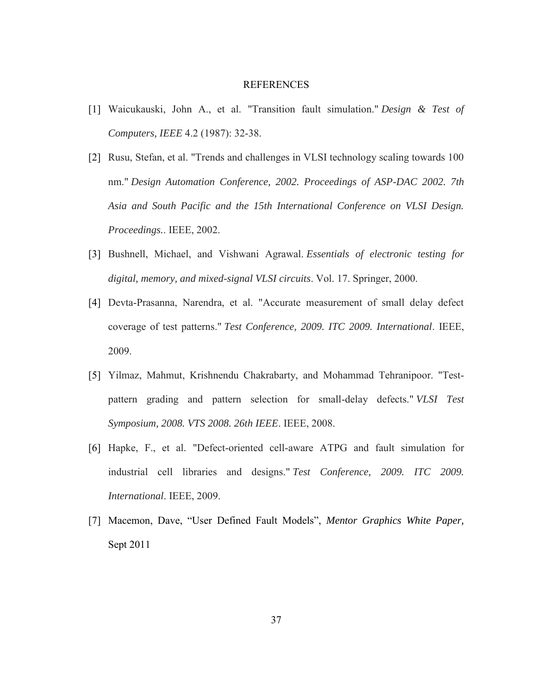#### REFERENCES

- <span id="page-43-0"></span>[1] Waicukauski, John A., et al. "Transition fault simulation." *Design & Test of Computers, IEEE* 4.2 (1987): 32-38.
- [2] Rusu, Stefan, et al. "Trends and challenges in VLSI technology scaling towards 100 nm." *Design Automation Conference, 2002. Proceedings of ASP-DAC 2002. 7th Asia and South Pacific and the 15th International Conference on VLSI Design. Proceedings.*. IEEE, 2002.
- [3] Bushnell, Michael, and Vishwani Agrawal. *Essentials of electronic testing for digital, memory, and mixed-signal VLSI circuits*. Vol. 17. Springer, 2000.
- [4] Devta-Prasanna, Narendra, et al. "Accurate measurement of small delay defect coverage of test patterns." *Test Conference, 2009. ITC 2009. International*. IEEE, 2009.
- [5] Yilmaz, Mahmut, Krishnendu Chakrabarty, and Mohammad Tehranipoor. "Testpattern grading and pattern selection for small-delay defects." *VLSI Test Symposium, 2008. VTS 2008. 26th IEEE*. IEEE, 2008.
- [6] Hapke, F., et al. "Defect-oriented cell-aware ATPG and fault simulation for industrial cell libraries and designs." *Test Conference, 2009. ITC 2009. International*. IEEE, 2009.
- [7] Macemon, Dave, "User Defined Fault Models", *Mentor Graphics White Paper,*  Sept 2011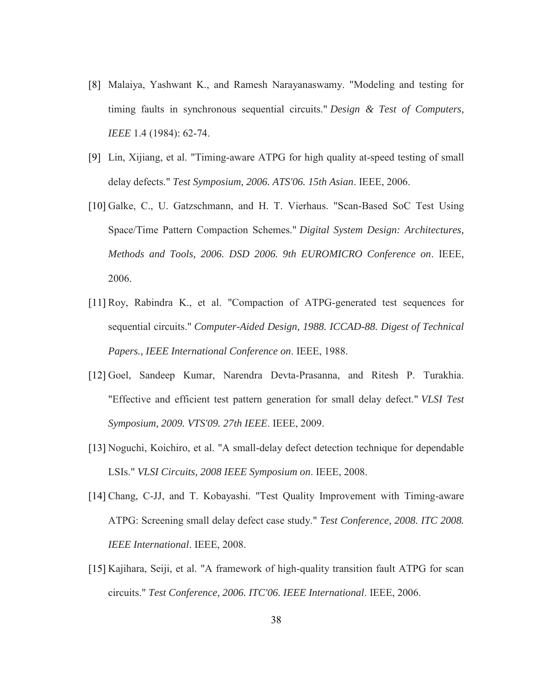- [8] Malaiya, Yashwant K., and Ramesh Narayanaswamy. "Modeling and testing for timing faults in synchronous sequential circuits." *Design & Test of Computers, IEEE* 1.4 (1984): 62-74.
- [9] Lin, Xijiang, et al. "Timing-aware ATPG for high quality at-speed testing of small delay defects." *Test Symposium, 2006. ATS'06. 15th Asian*. IEEE, 2006.
- [10] Galke, C., U. Gatzschmann, and H. T. Vierhaus. "Scan-Based SoC Test Using Space/Time Pattern Compaction Schemes." *Digital System Design: Architectures, Methods and Tools, 2006. DSD 2006. 9th EUROMICRO Conference on*. IEEE, 2006.
- [11] Roy, Rabindra K., et al. "Compaction of ATPG-generated test sequences for sequential circuits." *Computer-Aided Design, 1988. ICCAD-88. Digest of Technical Papers., IEEE International Conference on*. IEEE, 1988.
- [12] Goel, Sandeep Kumar, Narendra Devta-Prasanna, and Ritesh P. Turakhia. "Effective and efficient test pattern generation for small delay defect." *VLSI Test Symposium, 2009. VTS'09. 27th IEEE*. IEEE, 2009.
- [13] Noguchi, Koichiro, et al. "A small-delay defect detection technique for dependable LSIs." *VLSI Circuits, 2008 IEEE Symposium on*. IEEE, 2008.
- [14] Chang, C-JJ, and T. Kobayashi. "Test Quality Improvement with Timing-aware ATPG: Screening small delay defect case study." *Test Conference, 2008. ITC 2008. IEEE International*. IEEE, 2008.
- [15] Kajihara, Seiji, et al. "A framework of high-quality transition fault ATPG for scan circuits." *Test Conference, 2006. ITC'06. IEEE International*. IEEE, 2006.